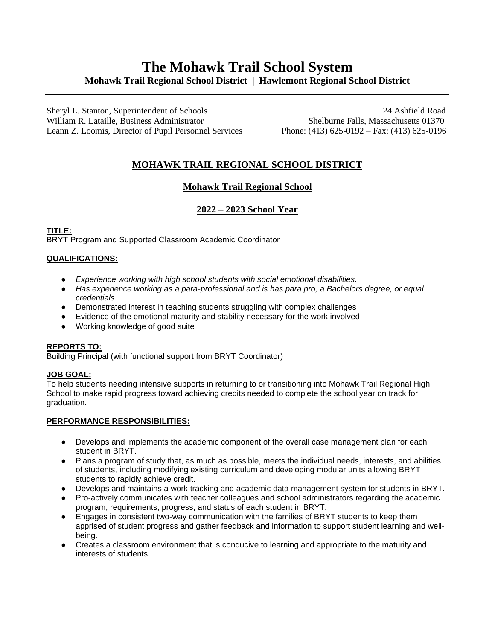# **The Mohawk Trail School System Mohawk Trail Regional School District | Hawlemont Regional School District**

Sheryl L. Stanton, Superintendent of Schools 24 Ashfield Road William R. Lataille, Business Administrator Shelburne Falls, Massachusetts 01370 Leann Z. Loomis, Director of Pupil Personnel Services Phone: (413) 625-0192 – Fax: (413) 625-0196

## **MOHAWK TRAIL REGIONAL SCHOOL DISTRICT**

## **Mohawk Trail Regional School**

### **2022 – 2023 School Year**

**TITLE:** BRYT Program and Supported Classroom Academic Coordinator

#### **QUALIFICATIONS:**

- *Experience working with high school students with social emotional disabilities.*
- *Has experience working as a para-professional and is has para pro, a Bachelors degree, or equal credentials.*
- Demonstrated interest in teaching students struggling with complex challenges
- Evidence of the emotional maturity and stability necessary for the work involved
- Working knowledge of good suite

#### **REPORTS TO:**

Building Principal (with functional support from BRYT Coordinator)

#### **JOB GOAL:**

To help students needing intensive supports in returning to or transitioning into Mohawk Trail Regional High School to make rapid progress toward achieving credits needed to complete the school year on track for graduation.

#### **PERFORMANCE RESPONSIBILITIES:**

- Develops and implements the academic component of the overall case management plan for each student in BRYT.
- Plans a program of study that, as much as possible, meets the individual needs, interests, and abilities of students, including modifying existing curriculum and developing modular units allowing BRYT students to rapidly achieve credit.
- Develops and maintains a work tracking and academic data management system for students in BRYT.
- Pro-actively communicates with teacher colleagues and school administrators regarding the academic program, requirements, progress, and status of each student in BRYT.
- Engages in consistent two-way communication with the families of BRYT students to keep them apprised of student progress and gather feedback and information to support student learning and wellbeing.
- Creates a classroom environment that is conducive to learning and appropriate to the maturity and interests of students.